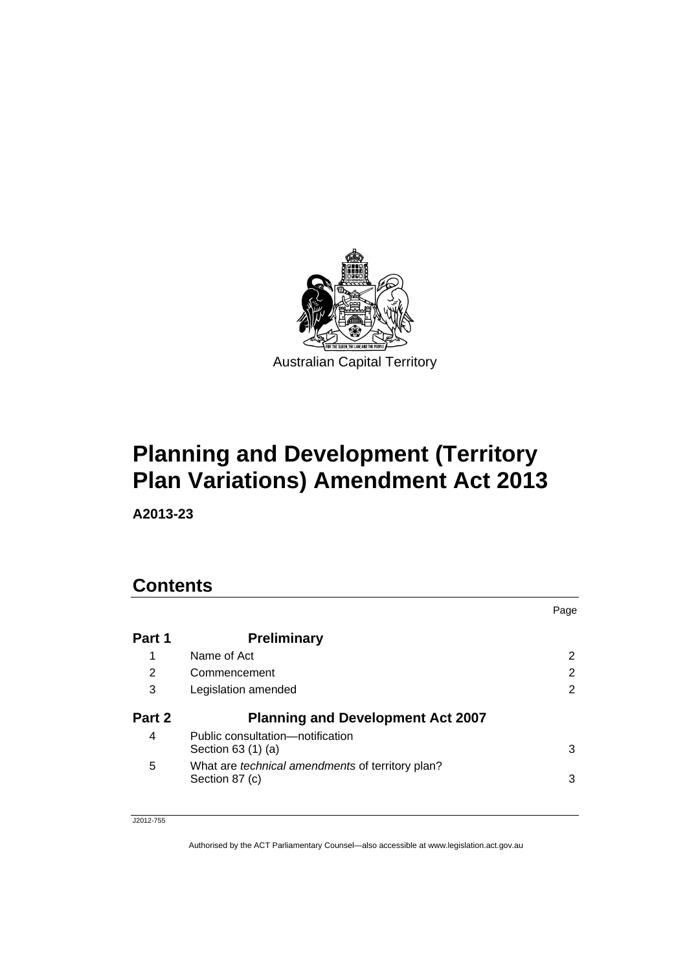

# **Planning and Development (Territory Plan Variations) Amendment Act 2013**

**A2013-23** 

# **Contents**

|        |                                                                    | Page |
|--------|--------------------------------------------------------------------|------|
| Part 1 | <b>Preliminary</b>                                                 |      |
|        | Name of Act                                                        | 2    |
| 2      | Commencement                                                       | 2    |
| 3      | Legislation amended                                                | 2    |
| Part 2 | <b>Planning and Development Act 2007</b>                           |      |
| 4      | Public consultation—notification<br>Section 63 (1) (a)             | 3    |
| 5      | What are technical amendments of territory plan?<br>Section 87 (c) | 3    |

J2012-755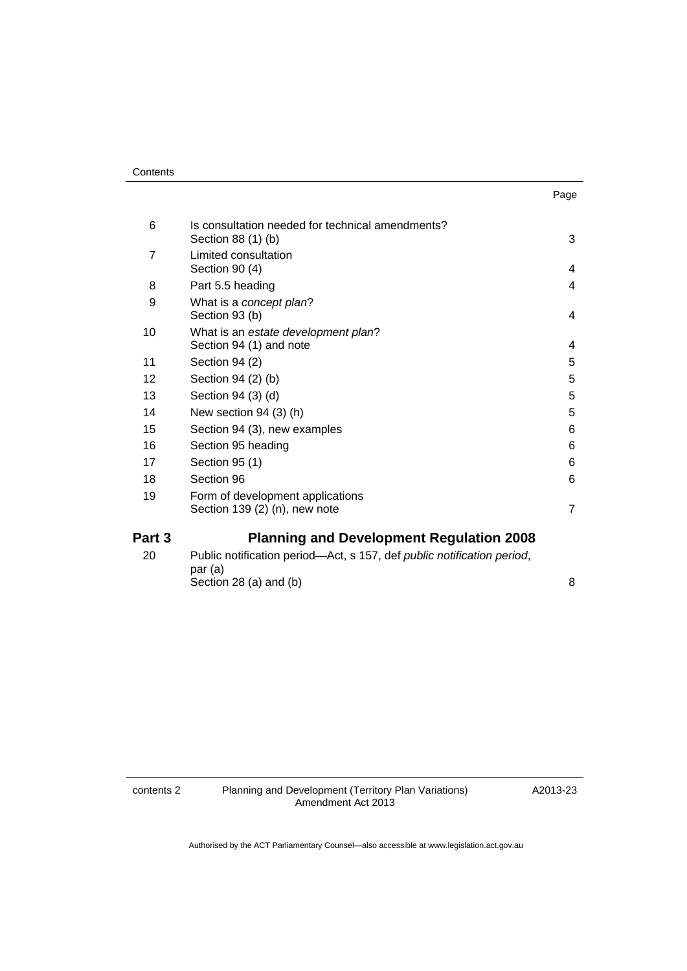| Part 3 | <b>Planning and Development Regulation 2008</b>                        |                |
|--------|------------------------------------------------------------------------|----------------|
|        | Section $139(2)$ (n), new note                                         | $\overline{7}$ |
| 19     | Form of development applications                                       |                |
| 18     | Section 96                                                             | 6              |
| 17     | Section 95 (1)                                                         | 6              |
| 16     | Section 95 heading                                                     | 6              |
| 15     | Section 94 (3), new examples                                           | 6              |
| 14     | New section $94(3)$ (h)                                                | 5              |
| 13     | Section 94 (3) (d)                                                     | 5              |
| 12     | Section 94 (2) (b)                                                     | 5              |
| 11     | Section 94 (2)                                                         | 5              |
| 10     | What is an estate development plan?<br>Section 94 (1) and note         | 4              |
| 9      | What is a concept plan?<br>Section 93 (b)                              | 4              |
| 8      | Part 5.5 heading                                                       | 4              |
| 7      | Limited consultation<br>Section 90 (4)                                 | 4              |
| 6      | Is consultation needed for technical amendments?<br>Section 88 (1) (b) | 3              |
|        |                                                                        |                |

[20 Public notification period—Act, s 157, def](#page-9-1) *public notification period*, [par \(a\)](#page-9-1)  Section 28 (a) and (b)  $8<sup>8</sup>$ 

Page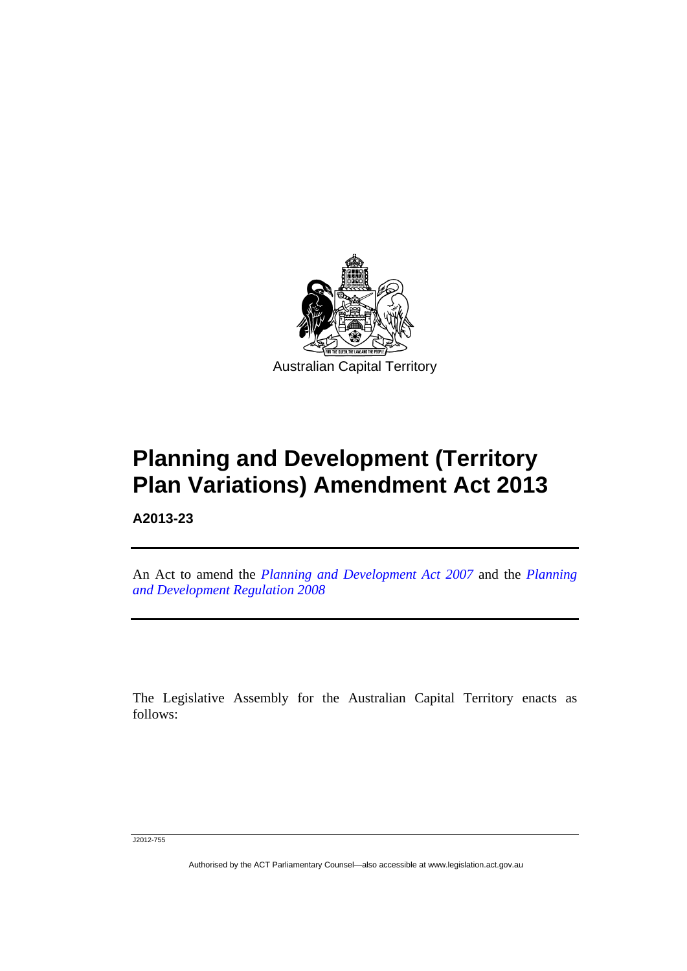

# **Planning and Development (Territory Plan Variations) Amendment Act 2013**

**A2013-23** 

l

An Act to amend the *[Planning and Development Act 2007](http://www.legislation.act.gov.au/a/2007-24)* and the *[Planning](http://www.legislation.act.gov.au/sl/2008-2)  [and Development Regulation 2008](http://www.legislation.act.gov.au/sl/2008-2)*

The Legislative Assembly for the Australian Capital Territory enacts as follows:

J2012-755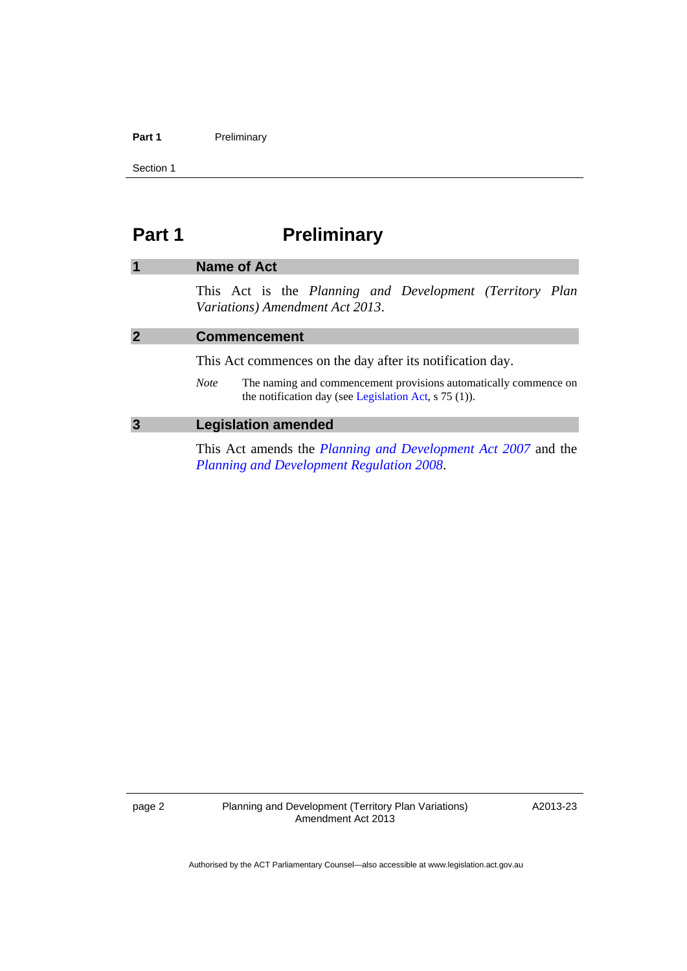#### Part 1 **Preliminary**

Section 1

# <span id="page-3-0"></span>**Part 1** Preliminary

# <span id="page-3-2"></span><span id="page-3-1"></span>**1 Name of Act**  This Act is the *Planning and Development (Territory Plan Variations) Amendment Act 2013*. **2 Commencement**  This Act commences on the day after its notification day. *Note* The naming and commencement provisions automatically commence on the notification day (see [Legislation Act,](http://www.legislation.act.gov.au/a/2001-14) s 75 (1)). **3 Legislation amended**

<span id="page-3-3"></span>This Act amends the *[Planning and Development Act 2007](http://www.legislation.act.gov.au/a/2007-24)* and the *[Planning and Development Regulation 2008](http://www.legislation.act.gov.au/sl/2008-2)*.

page 2 Planning and Development (Territory Plan Variations) Amendment Act 2013

A2013-23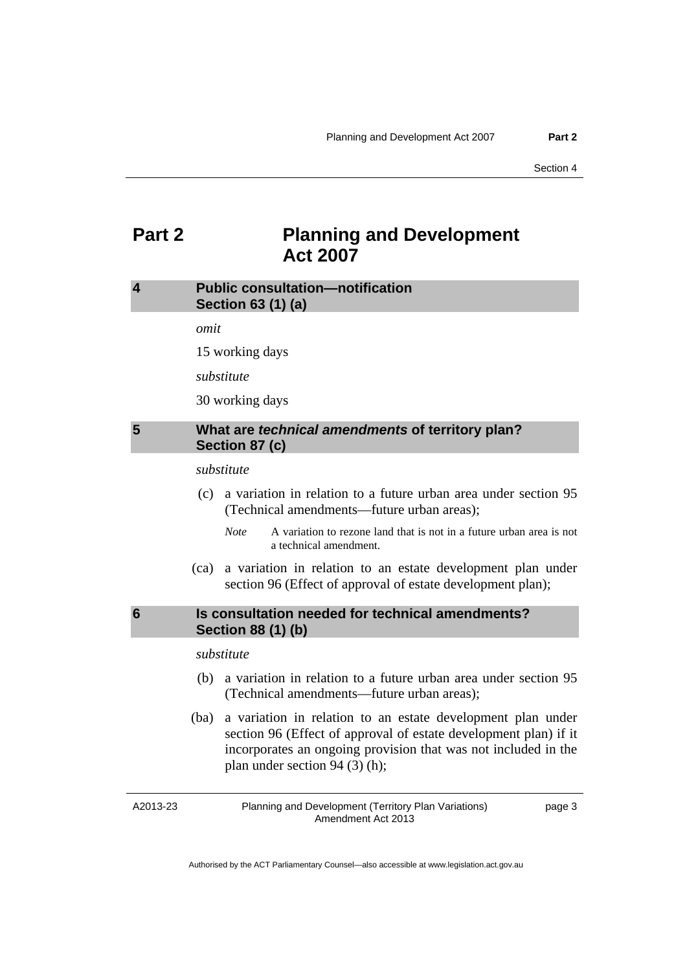# <span id="page-4-0"></span>**Part 2 Planning and Development Act 2007**

## <span id="page-4-1"></span>**4 Public consultation—notification Section 63 (1) (a)**

*omit* 

15 working days

*substitute* 

30 working days

### <span id="page-4-2"></span>**5 What are** *technical amendments* **of territory plan? Section 87 (c)**

*substitute* 

- (c) a variation in relation to a future urban area under section 95 (Technical amendments—future urban areas);
	- *Note* A variation to rezone land that is not in a future urban area is not a technical amendment.
- (ca) a variation in relation to an estate development plan under section 96 (Effect of approval of estate development plan);

## <span id="page-4-3"></span>**6 Is consultation needed for technical amendments? Section 88 (1) (b)**

*substitute* 

- (b) a variation in relation to a future urban area under section 95 (Technical amendments—future urban areas);
- (ba) a variation in relation to an estate development plan under section 96 (Effect of approval of estate development plan) if it incorporates an ongoing provision that was not included in the plan under section 94 (3) (h);

A2013-23

Planning and Development (Territory Plan Variations) Amendment Act 2013

page 3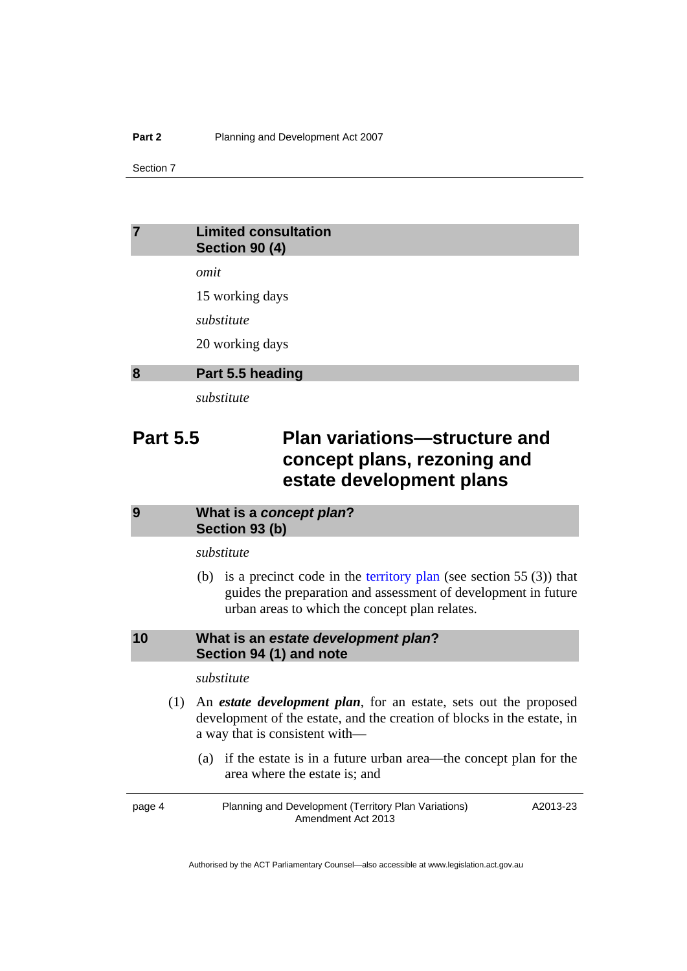Section 7

## <span id="page-5-0"></span>**7 Limited consultation Section 90 (4)**

*omit* 

15 working days

*substitute* 

20 working days

#### <span id="page-5-1"></span>**8 Part 5.5 heading**

*substitute* 

# **Part 5.5** Plan variations—structure and **concept plans, rezoning and estate development plans**

### <span id="page-5-2"></span>**9 What is a** *concept plan***? Section 93 (b)**

*substitute* 

(b) is a precinct code in the [territory plan](http://www.legislation.act.gov.au/ni/2008-27/default.asp) (see section 55  $(3)$ ) that guides the preparation and assessment of development in future urban areas to which the concept plan relates.

### <span id="page-5-3"></span>**10 What is an** *estate development plan***? Section 94 (1) and note**

### *substitute*

- (1) An *estate development plan*, for an estate, sets out the proposed development of the estate, and the creation of blocks in the estate, in a way that is consistent with—
	- (a) if the estate is in a future urban area—the concept plan for the area where the estate is; and

page 4 Planning and Development (Territory Plan Variations) Amendment Act 2013 A2013-23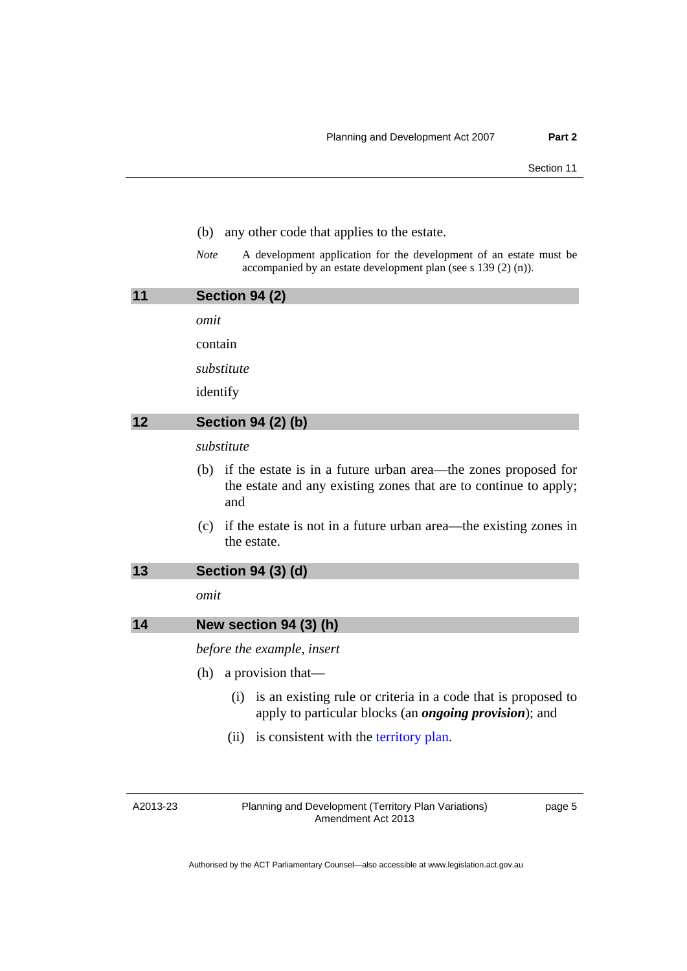- (b) any other code that applies to the estate.
- *Note* A development application for the development of an estate must be accompanied by an estate development plan (see s 139 (2) (n)).

<span id="page-6-1"></span><span id="page-6-0"></span>

| 11 | <b>Section 94 (2)</b>                                                                                                                            |  |
|----|--------------------------------------------------------------------------------------------------------------------------------------------------|--|
|    | omit                                                                                                                                             |  |
|    | contain                                                                                                                                          |  |
|    | substitute                                                                                                                                       |  |
|    | identify                                                                                                                                         |  |
| 12 | <b>Section 94 (2) (b)</b>                                                                                                                        |  |
|    | substitute                                                                                                                                       |  |
|    | if the estate is in a future urban area—the zones proposed for<br>(b)<br>the estate and any existing zones that are to continue to apply;<br>and |  |
|    | if the estate is not in a future urban area—the existing zones in<br>(c)<br>the estate.                                                          |  |

<span id="page-6-2"></span>

*omit* 

<span id="page-6-3"></span>

| 14 | New section $94(3)$ (h) |  |  |
|----|-------------------------|--|--|
|    |                         |  |  |

*before the example, insert* 

- (h) a provision that—
	- (i) is an existing rule or criteria in a code that is proposed to apply to particular blocks (an *ongoing provision*); and
	- (ii) is consistent with the [territory plan](http://www.legislation.act.gov.au/ni/2008-27/default.asp).

A2013-23

Planning and Development (Territory Plan Variations) Amendment Act 2013

page 5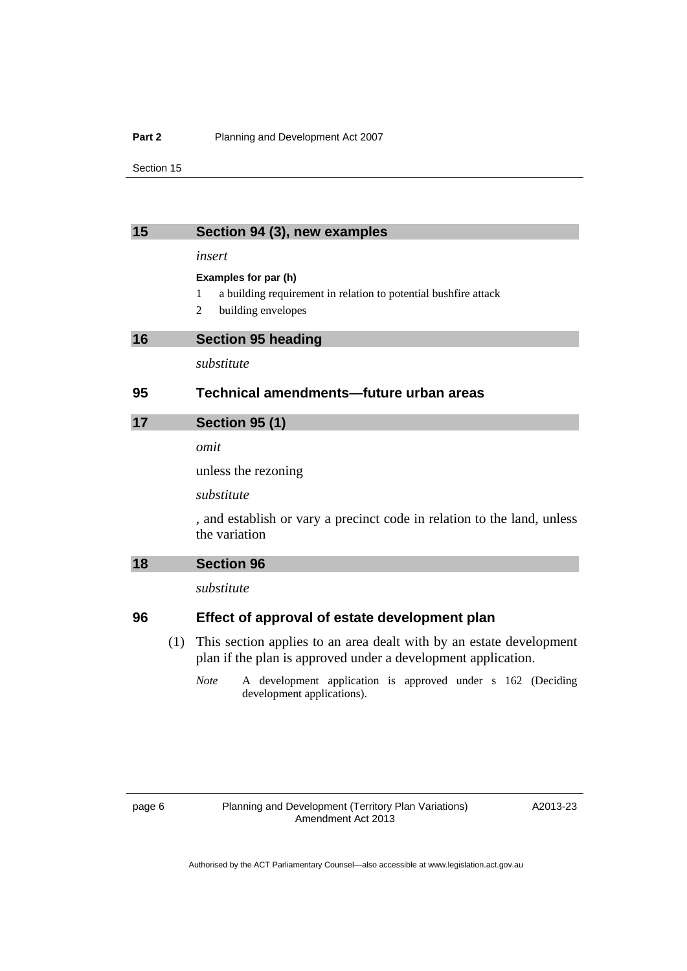#### **Part 2** Planning and Development Act 2007

Section 15

<span id="page-7-2"></span><span id="page-7-1"></span><span id="page-7-0"></span>

| 15 |     | Section 94 (3), new examples                                                                                                         |  |
|----|-----|--------------------------------------------------------------------------------------------------------------------------------------|--|
|    |     | insert                                                                                                                               |  |
|    |     | Examples for par (h)                                                                                                                 |  |
|    |     | a building requirement in relation to potential bushfire attack<br>1                                                                 |  |
|    |     | building envelopes<br>2                                                                                                              |  |
| 16 |     | <b>Section 95 heading</b>                                                                                                            |  |
|    |     | substitute                                                                                                                           |  |
| 95 |     | Technical amendments—future urban areas                                                                                              |  |
| 17 |     | <b>Section 95 (1)</b>                                                                                                                |  |
|    |     | omit                                                                                                                                 |  |
|    |     | unless the rezoning                                                                                                                  |  |
|    |     | substitute                                                                                                                           |  |
|    |     | , and establish or vary a precinct code in relation to the land, unless                                                              |  |
|    |     | the variation                                                                                                                        |  |
| 18 |     | <b>Section 96</b>                                                                                                                    |  |
|    |     | substitute                                                                                                                           |  |
| 96 |     | Effect of approval of estate development plan                                                                                        |  |
|    |     |                                                                                                                                      |  |
|    | (1) | This section applies to an area dealt with by an estate development<br>plan if the plan is approved under a development application. |  |
|    |     |                                                                                                                                      |  |

<span id="page-7-3"></span>*Note* A development application is approved under s 162 (Deciding development applications).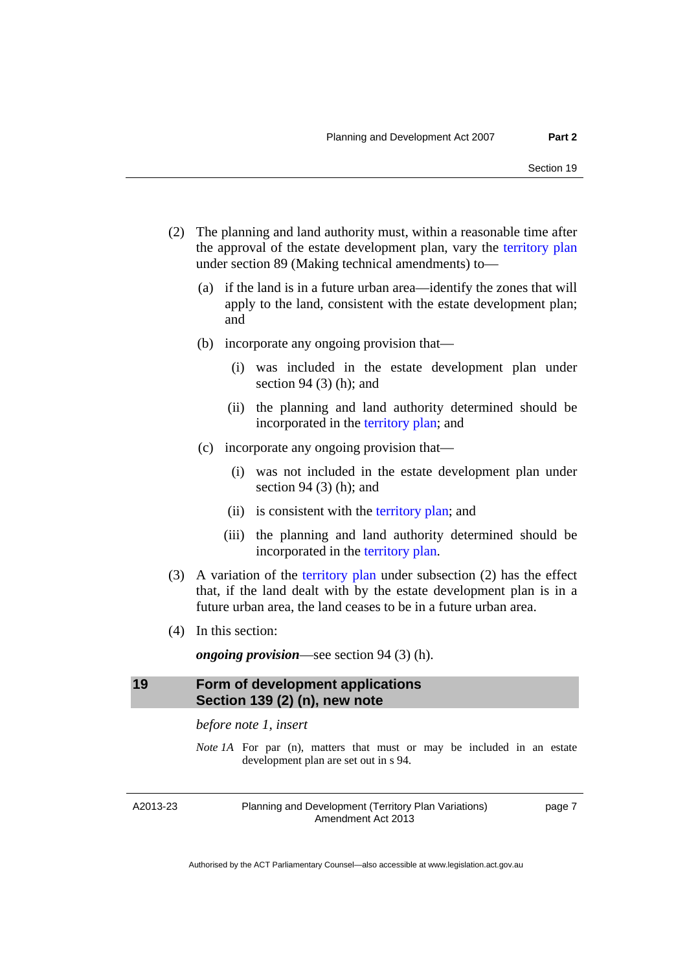- (2) The planning and land authority must, within a reasonable time after the approval of the estate development plan, vary the [territory plan](http://www.legislation.act.gov.au/ni/2008-27/default.asp) under section 89 (Making technical amendments) to—
	- (a) if the land is in a future urban area—identify the zones that will apply to the land, consistent with the estate development plan; and
	- (b) incorporate any ongoing provision that—
		- (i) was included in the estate development plan under section 94 $(3)$  (h); and
		- (ii) the planning and land authority determined should be incorporated in the [territory plan;](http://www.legislation.act.gov.au/ni/2008-27/default.asp) and
	- (c) incorporate any ongoing provision that—
		- (i) was not included in the estate development plan under section 94 $(3)$  (h); and
		- (ii) is consistent with the [territory plan;](http://www.legislation.act.gov.au/ni/2008-27/default.asp) and
		- (iii) the planning and land authority determined should be incorporated in the [territory plan.](http://www.legislation.act.gov.au/ni/2008-27/default.asp)
- (3) A variation of the [territory plan](http://www.legislation.act.gov.au/ni/2008-27/default.asp) under subsection (2) has the effect that, if the land dealt with by the estate development plan is in a future urban area, the land ceases to be in a future urban area.
- (4) In this section:

*ongoing provision*—see section 94 (3) (h).

### <span id="page-8-0"></span>**19 Form of development applications Section 139 (2) (n), new note**

*before note 1, insert* 

*Note 1A* For par (n), matters that must or may be included in an estate development plan are set out in s 94.

A2013-23

Planning and Development (Territory Plan Variations) Amendment Act 2013

page 7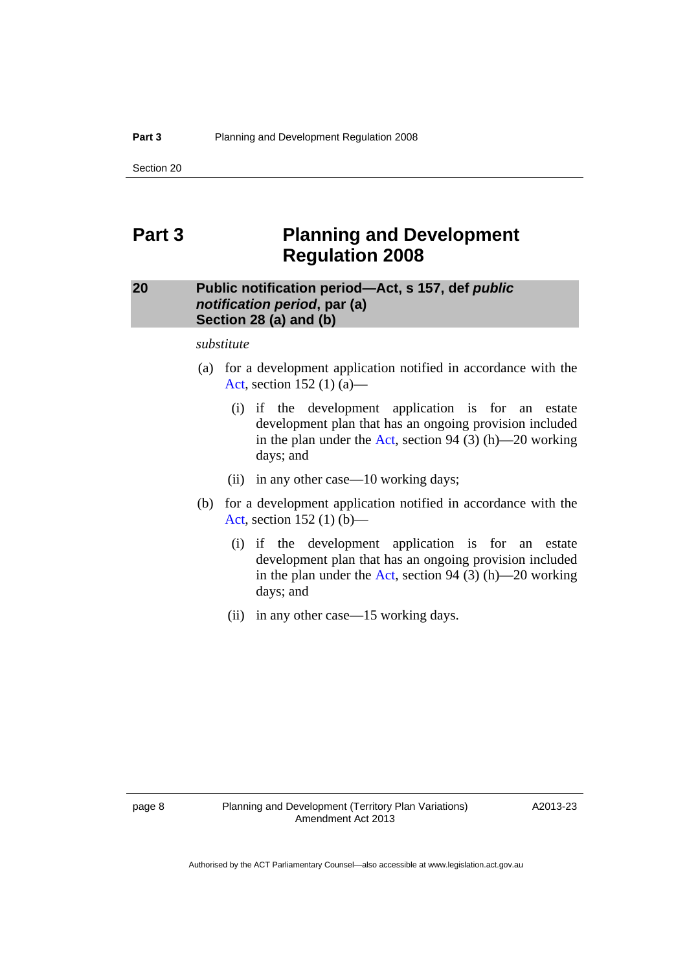Section 20

# <span id="page-9-0"></span>**Part 3 Planning and Development Regulation 2008**

# <span id="page-9-1"></span>**20 Public notification period—Act, s 157, def** *public notification period***, par (a) Section 28 (a) and (b)**

*substitute* 

- (a) for a development application notified in accordance with the [Act](http://www.legislation.act.gov.au/a/2007-24/default.asp), section 152 (1) (a)—
	- (i) if the development application is for an estate development plan that has an ongoing provision included in the plan under the [Act,](http://www.legislation.act.gov.au/a/2007-24/default.asp) section 94 (3) (h)—20 working days; and
	- (ii) in any other case—10 working days;
- (b) for a development application notified in accordance with the [Act](http://www.legislation.act.gov.au/a/2007-24/default.asp), section 152 (1) (b)—
	- (i) if the development application is for an estate development plan that has an ongoing provision included in the plan under the [Act,](http://www.legislation.act.gov.au/a/2007-24/default.asp) section 94 (3) (h)—20 working days; and
	- (ii) in any other case—15 working days.

A2013-23